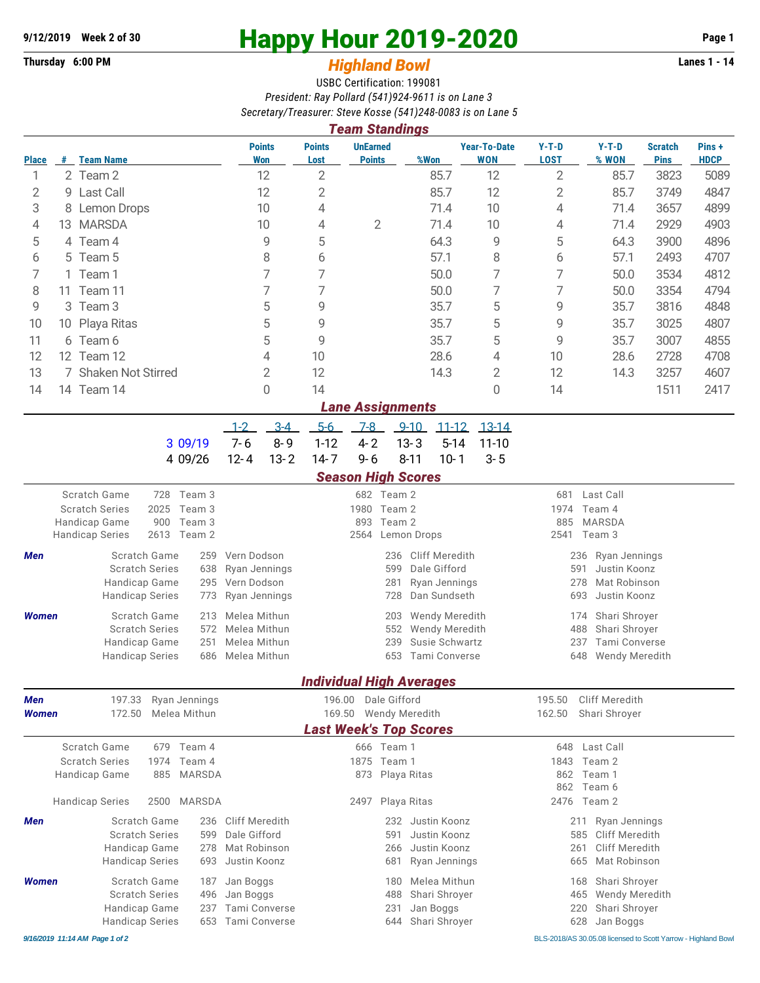## **9/12/2019** Week 2 of 30<br>
Thursday 6:00 PM<br> **Highland Rowl**<br> **Highland Rowl**<br> **Lanes 1 - 14**

## **Thursday 6:00 PM** *Highland Bowl*

USBC Certification: 199081 *President: Ray Pollard (541)924-9611 is on Lane 3 Secretary/Treasurer: Steve Kosse (541)248-0083 is on Lane 5*

|                                | <b>Team Standings</b>  |                                                        |                        |                              |                          |                                                      |                                 |                                   |                                        |                                                               |                               |                      |  |  |
|--------------------------------|------------------------|--------------------------------------------------------|------------------------|------------------------------|--------------------------|------------------------------------------------------|---------------------------------|-----------------------------------|----------------------------------------|---------------------------------------------------------------|-------------------------------|----------------------|--|--|
| <b>Place</b>                   |                        | # Team Name                                            |                        | <b>Points</b><br><b>Won</b>  | <b>Points</b><br>Lost    | <b>UnEarned</b><br><b>Points</b>                     | %Won                            | <b>Year-To-Date</b><br><b>WON</b> | $Y-T-D$<br><b>LOST</b>                 | $Y-T-D$<br>% WON                                              | <b>Scratch</b><br><b>Pins</b> | Pins+<br><b>HDCP</b> |  |  |
| 1                              |                        | 2 Team 2                                               |                        | 12                           | $\overline{2}$           |                                                      | 85.7                            | 12                                | $\overline{2}$                         | 85.7                                                          | 3823                          | 5089                 |  |  |
| 2                              | 9                      | Last Call                                              |                        | 12                           | 2                        |                                                      | 85.7                            | 12                                | $\overline{2}$                         | 85.7                                                          | 3749                          | 4847                 |  |  |
| 3                              | Lemon Drops<br>8       |                                                        |                        | 10                           | 4                        |                                                      | 71.4                            | 10                                | 4                                      | 71.4                                                          | 3657                          | 4899                 |  |  |
| 4                              | <b>MARSDA</b><br>13    |                                                        |                        | 10                           | 4<br>2                   |                                                      | 71.4                            | 10                                | 4                                      | 71.4                                                          | 2929                          | 4903                 |  |  |
| 5                              | 4 Team 4               |                                                        |                        | 5<br>9                       |                          |                                                      | 64.3                            | 9                                 | 5                                      | 64.3                                                          | 3900                          | 4896                 |  |  |
| 6                              | Team 5<br>5            |                                                        |                        | 8                            |                          |                                                      | 57.1                            | 8                                 | 6                                      | 57.1                                                          | 2493                          | 4707                 |  |  |
| 7                              | Team 1<br>1            |                                                        |                        | 7                            |                          |                                                      | 50.0                            | 7                                 | 7                                      | 50.0                                                          | 3534                          | 4812                 |  |  |
| 8                              | Team 11<br>11          |                                                        |                        | 7                            |                          |                                                      | 50.0                            | 7                                 | 7                                      | 50.0                                                          | 3354                          | 4794                 |  |  |
| 9                              | Team <sub>3</sub><br>3 |                                                        |                        | 5                            |                          |                                                      | 35.7                            | 5                                 | 9                                      | 35.7                                                          | 3816                          | 4848                 |  |  |
| 10                             | 10 Playa Ritas         |                                                        |                        | 5                            |                          |                                                      | 35.7                            | 5                                 | 9                                      | 35.7                                                          | 3025                          | 4807                 |  |  |
| 11                             | 6 Team 6               |                                                        |                        | 5                            | 9                        |                                                      | 35.7                            | 5                                 | 9                                      | 35.7                                                          | 3007                          | 4855                 |  |  |
| 12                             | 12 Team 12             |                                                        |                        | 4                            | 10                       |                                                      | 28.6                            | 4                                 | 10                                     | 28.6                                                          | 2728                          | 4708                 |  |  |
| 13                             |                        | 7 Shaken Not Stirred                                   |                        | $\overline{2}$               | 12                       |                                                      | 14.3                            | $\overline{2}$                    | 12                                     | 14.3                                                          | 3257                          | 4607                 |  |  |
| 14                             |                        | 14 Team 14                                             |                        | 0                            | 14                       |                                                      |                                 | 0                                 | 14                                     |                                                               | 1511                          | 2417                 |  |  |
| <b>Lane Assignments</b>        |                        |                                                        |                        |                              |                          |                                                      |                                 |                                   |                                        |                                                               |                               |                      |  |  |
|                                |                        |                                                        | $1 - 2$                | $3-4$                        | $5-6$                    | $7 - 8$                                              | $9 - 10$                        | $11 - 12$<br>$13-14$              |                                        |                                                               |                               |                      |  |  |
|                                |                        | 3 09/19                                                | $7 - 6$                | $8 - 9$                      | $1 - 12$                 | $4 - 2$                                              | $13 - 3$                        | $5 - 14$<br>$11 - 10$             |                                        |                                                               |                               |                      |  |  |
|                                |                        | 4 09/26                                                | $12 - 4$               | $13 - 2$                     | $14 - 7$                 | $9 - 6$                                              | $8 - 11$                        | $10 - 1$<br>$3 - 5$               |                                        |                                                               |                               |                      |  |  |
|                                |                        |                                                        |                        |                              |                          | <b>Season High Scores</b>                            |                                 |                                   |                                        |                                                               |                               |                      |  |  |
|                                |                        | Scratch Game<br>728                                    | Team 3                 |                              |                          | 682 Team 2                                           |                                 |                                   | 681                                    | Last Call                                                     |                               |                      |  |  |
|                                |                        | <b>Scratch Series</b><br>2025                          | Team 3                 |                              |                          | 1980                                                 | Team 2                          |                                   | 1974<br>Team 4                         |                                                               |                               |                      |  |  |
|                                |                        | 900<br>Handicap Game<br>2613<br><b>Handicap Series</b> | Team 3<br>Team 2       |                              |                          | 893<br>2564                                          | Team 2<br>Lemon Drops           |                                   | <b>MARSDA</b><br>885<br>2541<br>Team 3 |                                                               |                               |                      |  |  |
| Men                            |                        | Scratch Game                                           | Vern Dodson<br>259     |                              |                          |                                                      | <b>Cliff Meredith</b><br>236    |                                   |                                        | Ryan Jennings<br>236                                          |                               |                      |  |  |
|                                |                        | <b>Scratch Series</b>                                  | 638                    | Ryan Jennings                |                          | 599                                                  | Dale Gifford                    |                                   | Justin Koonz<br>591                    |                                                               |                               |                      |  |  |
|                                |                        | Handicap Game                                          | Vern Dodson<br>295     |                              |                          | 281                                                  | Ryan Jennings                   |                                   |                                        | 278<br>Mat Robinson                                           |                               |                      |  |  |
|                                |                        | <b>Handicap Series</b>                                 | Ryan Jennings<br>773   |                              |                          | 728                                                  | Dan Sundseth                    |                                   |                                        | 693<br>Justin Koonz                                           |                               |                      |  |  |
| <b>Women</b>                   |                        | Scratch Game                                           | 213                    | Melea Mithun                 |                          | 203                                                  | Wendy Meredith                  |                                   | Shari Shroyer<br>174                   |                                                               |                               |                      |  |  |
|                                |                        | <b>Scratch Series</b>                                  | 572                    | Melea Mithun<br>Melea Mithun |                          |                                                      | 552<br>Wendy Meredith           |                                   | 488<br>Shari Shroyer                   |                                                               |                               |                      |  |  |
|                                |                        | Handicap Game                                          | 251                    |                              |                          | Susie Schwartz<br>239<br>653<br><b>Tami Converse</b> |                                 |                                   |                                        | 237<br>Tami Converse                                          |                               |                      |  |  |
|                                |                        | <b>Handicap Series</b>                                 | 686<br>Melea Mithun    |                              |                          |                                                      |                                 |                                   | 648<br>Wendy Meredith                  |                                                               |                               |                      |  |  |
|                                |                        |                                                        |                        |                              |                          |                                                      | <b>Individual High Averages</b> |                                   |                                        |                                                               |                               |                      |  |  |
| 197.33<br>Ryan Jennings<br>Men |                        |                                                        | Dale Gifford<br>196.00 |                              |                          |                                                      | <b>Cliff Meredith</b><br>195.50 |                                   |                                        |                                                               |                               |                      |  |  |
| <b>Women</b>                   |                        | Melea Mithun<br>172.50                                 |                        |                              | Wendy Meredith<br>169.50 |                                                      |                                 |                                   |                                        | 162.50<br>Shari Shroyer                                       |                               |                      |  |  |
|                                |                        |                                                        |                        |                              |                          |                                                      | <b>Last Week's Top Scores</b>   |                                   |                                        |                                                               |                               |                      |  |  |
|                                |                        | Scratch Game<br>679 Team 4                             |                        |                              |                          | 666 Team 1                                           |                                 |                                   | 648                                    | Last Call                                                     |                               |                      |  |  |
|                                |                        | <b>Scratch Series</b><br>1974                          | Team 4                 |                              |                          | 1875 Team 1                                          |                                 |                                   |                                        | 1843<br>Team 2                                                |                               |                      |  |  |
|                                |                        | Handicap Game<br>885                                   | MARSDA                 |                              |                          | 873 Playa Ritas                                      |                                 |                                   | 862<br>Team 1<br>862<br>Team 6         |                                                               |                               |                      |  |  |
|                                |                        | <b>Handicap Series</b><br>2500                         | MARSDA                 |                              |                          | Playa Ritas<br>2497                                  |                                 |                                   | 2476 Team 2                            |                                                               |                               |                      |  |  |
| Men                            |                        | Scratch Game<br>236                                    |                        | Cliff Meredith               |                          |                                                      | 232 Justin Koonz                |                                   | Ryan Jennings<br>211                   |                                                               |                               |                      |  |  |
|                                |                        | <b>Scratch Series</b>                                  | 599                    | Dale Gifford                 |                          | 591<br>Justin Koonz                                  |                                 |                                   | <b>Cliff Meredith</b><br>585           |                                                               |                               |                      |  |  |
|                                |                        | Handicap Game                                          | 278                    | Mat Robinson                 |                          | Justin Koonz<br>266                                  |                                 |                                   | <b>Cliff Meredith</b><br>261           |                                                               |                               |                      |  |  |
|                                |                        | <b>Handicap Series</b><br>693                          |                        | Justin Koonz                 |                          |                                                      | 681<br>Ryan Jennings            |                                   | Mat Robinson<br>665                    |                                                               |                               |                      |  |  |
| <b>Women</b>                   |                        | Scratch Game                                           | Jan Boggs<br>187       |                              |                          | 180                                                  | Melea Mithun                    |                                   |                                        | Shari Shroyer<br>168                                          |                               |                      |  |  |
|                                |                        | <b>Scratch Series</b>                                  | Jan Boggs<br>496       |                              |                          | Shari Shroyer<br>488                                 |                                 |                                   |                                        | Wendy Meredith<br>465                                         |                               |                      |  |  |
|                                |                        | Handicap Game                                          | Tami Converse<br>237   |                              |                          | 231                                                  | Jan Boggs                       |                                   |                                        | 220<br>Shari Shroyer                                          |                               |                      |  |  |
|                                |                        | <b>Handicap Series</b>                                 | Tami Converse<br>653   |                              |                          |                                                      | Shari Shroyer<br>644            |                                   |                                        | 628<br>Jan Boggs                                              |                               |                      |  |  |
|                                |                        | 9/16/2019 11:14 AM Page 1 of 2                         |                        |                              |                          |                                                      |                                 |                                   |                                        | BLS-2018/AS 30.05.08 licensed to Scott Yarrow - Highland Bowl |                               |                      |  |  |